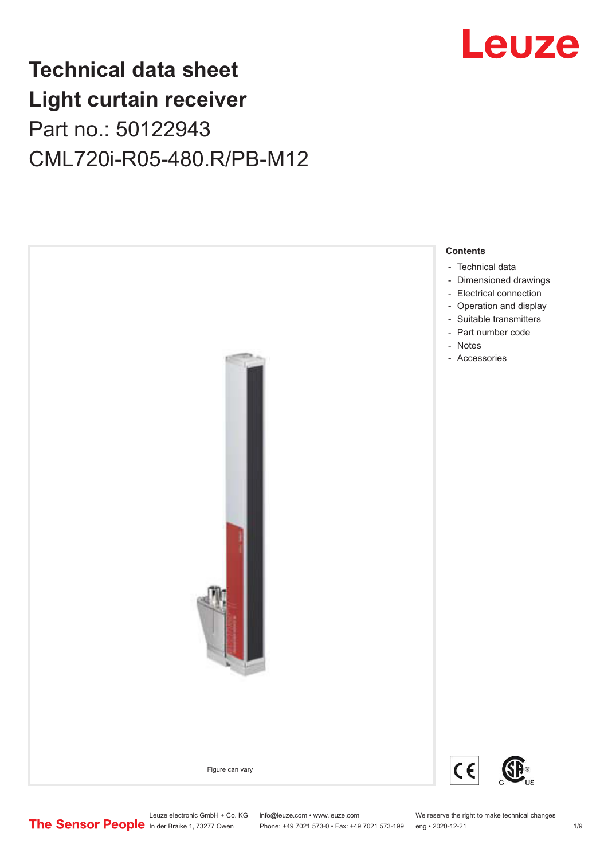# Leuze

# **Technical data sheet Light curtain receiver** Part no.: 50122943 CML720i-R05-480.R/PB-M12



Leuze electronic GmbH + Co. KG info@leuze.com • www.leuze.com We reserve the right to make technical changes<br>
The Sensor People in der Braike 1, 73277 Owen Phone: +49 7021 573-0 • Fax: +49 7021 573-199 eng • 2020-12-21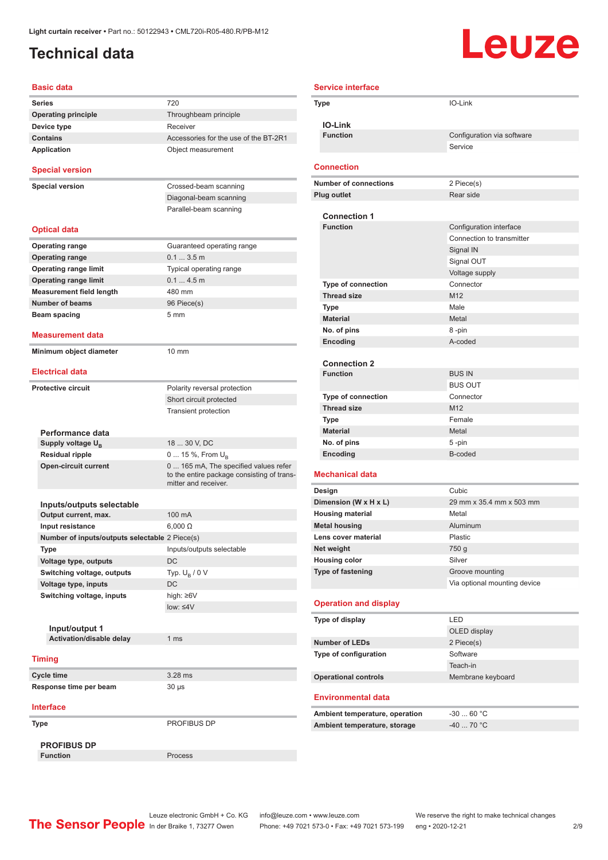### <span id="page-1-0"></span>**Technical data**

# **Leuze**

| <b>Basic data</b>                              |                                                                                                             |
|------------------------------------------------|-------------------------------------------------------------------------------------------------------------|
| <b>Series</b>                                  | 720                                                                                                         |
| <b>Operating principle</b>                     | Throughbeam principle                                                                                       |
| Device type                                    | Receiver                                                                                                    |
| <b>Contains</b>                                | Accessories for the use of the BT-2R1                                                                       |
| <b>Application</b>                             | Object measurement                                                                                          |
| <b>Special version</b>                         |                                                                                                             |
| <b>Special version</b>                         | Crossed-beam scanning                                                                                       |
|                                                | Diagonal-beam scanning                                                                                      |
|                                                | Parallel-beam scanning                                                                                      |
| <b>Optical data</b>                            |                                                                                                             |
| <b>Operating range</b>                         | Guaranteed operating range                                                                                  |
| <b>Operating range</b>                         | $0.13.5$ m                                                                                                  |
| <b>Operating range limit</b>                   | Typical operating range                                                                                     |
| <b>Operating range limit</b>                   | 0.14.5m                                                                                                     |
| <b>Measurement field length</b>                | 480 mm                                                                                                      |
| <b>Number of beams</b>                         | 96 Piece(s)                                                                                                 |
| Beam spacing                                   | 5 <sub>mm</sub>                                                                                             |
| <b>Measurement data</b>                        |                                                                                                             |
| Minimum object diameter                        | $10 \text{ mm}$                                                                                             |
| <b>Electrical data</b>                         |                                                                                                             |
|                                                |                                                                                                             |
| <b>Protective circuit</b>                      | Polarity reversal protection                                                                                |
|                                                | Short circuit protected                                                                                     |
|                                                | <b>Transient protection</b>                                                                                 |
|                                                |                                                                                                             |
| Performance data                               |                                                                                                             |
| Supply voltage U <sub>B</sub>                  | 18  30 V, DC                                                                                                |
| <b>Residual ripple</b>                         | 0  15 %, From $U_{\rm B}$                                                                                   |
| <b>Open-circuit current</b>                    | 0  165 mA, The specified values refer<br>to the entire package consisting of trans-<br>mitter and receiver. |
|                                                |                                                                                                             |
| Inputs/outputs selectable                      |                                                                                                             |
| Output current, max.                           | 100 mA                                                                                                      |
| Input resistance                               | $6,000 \Omega$                                                                                              |
| Number of inputs/outputs selectable 2 Piece(s) |                                                                                                             |
| Type                                           | Inputs/outputs selectable                                                                                   |
| Voltage type, outputs                          | DC                                                                                                          |
| Switching voltage, outputs                     | Typ. $U_{\rm B}$ / 0 V                                                                                      |
| Voltage type, inputs                           | DC.                                                                                                         |
| Switching voltage, inputs                      | high: ≥6V                                                                                                   |
|                                                | $low: 4V$                                                                                                   |
|                                                |                                                                                                             |
| Input/output 1                                 |                                                                                                             |
| Activation/disable delay                       | 1 <sub>ms</sub>                                                                                             |
| <b>Timing</b>                                  |                                                                                                             |
|                                                |                                                                                                             |
| <b>Cycle time</b>                              | 3.28 ms                                                                                                     |
| Response time per beam                         | 30 µs                                                                                                       |
| <b>Interface</b>                               |                                                                                                             |
| Type                                           | PROFIBUS DP                                                                                                 |
| <b>PROFIBUS DP</b>                             |                                                                                                             |
| <b>Function</b>                                | Process                                                                                                     |

| <b>Service interface</b>                         |                              |  |
|--------------------------------------------------|------------------------------|--|
| <b>Type</b>                                      | IO-Link                      |  |
| <b>IO-Link</b>                                   |                              |  |
| <b>Function</b>                                  | Configuration via software   |  |
|                                                  | Service                      |  |
| <b>Connection</b>                                |                              |  |
| <b>Number of connections</b>                     | 2 Piece(s)                   |  |
| <b>Plug outlet</b>                               | Rear side                    |  |
|                                                  |                              |  |
| <b>Connection 1</b>                              |                              |  |
| <b>Function</b>                                  | Configuration interface      |  |
|                                                  | Connection to transmitter    |  |
|                                                  | Signal IN                    |  |
|                                                  | Signal OUT                   |  |
| <b>Type of connection</b>                        | Voltage supply<br>Connector  |  |
| <b>Thread size</b>                               | M <sub>12</sub>              |  |
| Type                                             | Male                         |  |
| <b>Material</b>                                  | Metal                        |  |
| No. of pins                                      | 8-pin                        |  |
| Encoding                                         | A-coded                      |  |
|                                                  |                              |  |
| <b>Connection 2</b>                              |                              |  |
| <b>Function</b>                                  | <b>BUS IN</b>                |  |
|                                                  | <b>BUS OUT</b>               |  |
| <b>Type of connection</b>                        | Connector                    |  |
| <b>Thread size</b>                               | M12                          |  |
| <b>Type</b>                                      | Female                       |  |
| <b>Material</b>                                  | Metal                        |  |
| No. of pins                                      | 5-pin                        |  |
| Encoding                                         | B-coded                      |  |
| <b>Mechanical data</b>                           |                              |  |
| Design                                           | Cubic                        |  |
| Dimension (W x H x L)                            | 29 mm x 35.4 mm x 503 mm     |  |
| <b>Housing material</b>                          | Metal                        |  |
| <b>Metal housing</b>                             | Aluminum                     |  |
| Lens cover material                              | Plastic                      |  |
| Net weight                                       | 750 g<br>Silver              |  |
| <b>Housing color</b><br><b>Type of fastening</b> | Groove mounting              |  |
|                                                  | Via optional mounting device |  |
|                                                  |                              |  |
| <b>Operation and display</b>                     |                              |  |
| Type of display                                  | LED                          |  |
|                                                  | OLED display                 |  |
| <b>Number of LEDs</b>                            | 2 Piece(s)                   |  |
| Type of configuration                            | Software                     |  |
|                                                  | Teach-in                     |  |
| <b>Operational controls</b>                      | Membrane keyboard            |  |
| <b>Environmental data</b>                        |                              |  |
| Ambient temperature, operation                   | $-3060 °C$                   |  |
| Ambient temperature, storage                     | $-40$ 70 °C                  |  |
|                                                  |                              |  |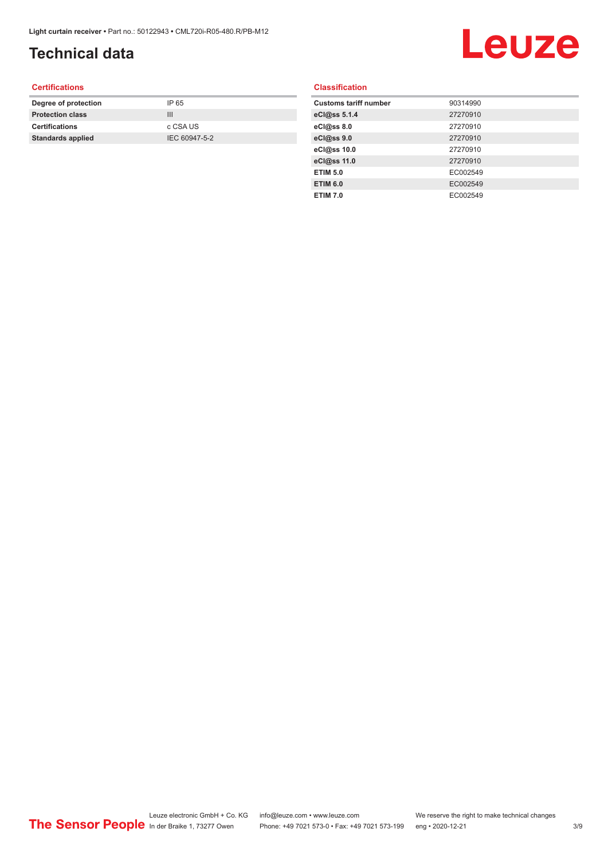## **Technical data**

# Leuze

#### **Certifications**

| Degree of protection     | IP 65         |
|--------------------------|---------------|
| <b>Protection class</b>  | Ш             |
| <b>Certifications</b>    | c CSA US      |
| <b>Standards applied</b> | IEC 60947-5-2 |
|                          |               |

#### **Classification**

| <b>Customs tariff number</b> | 90314990 |
|------------------------------|----------|
| eCl@ss 5.1.4                 | 27270910 |
| eCl@ss 8.0                   | 27270910 |
| eCl@ss 9.0                   | 27270910 |
| eCl@ss 10.0                  | 27270910 |
| eCl@ss 11.0                  | 27270910 |
| <b>ETIM 5.0</b>              | EC002549 |
| <b>ETIM 6.0</b>              | EC002549 |
| <b>ETIM 7.0</b>              | EC002549 |
|                              |          |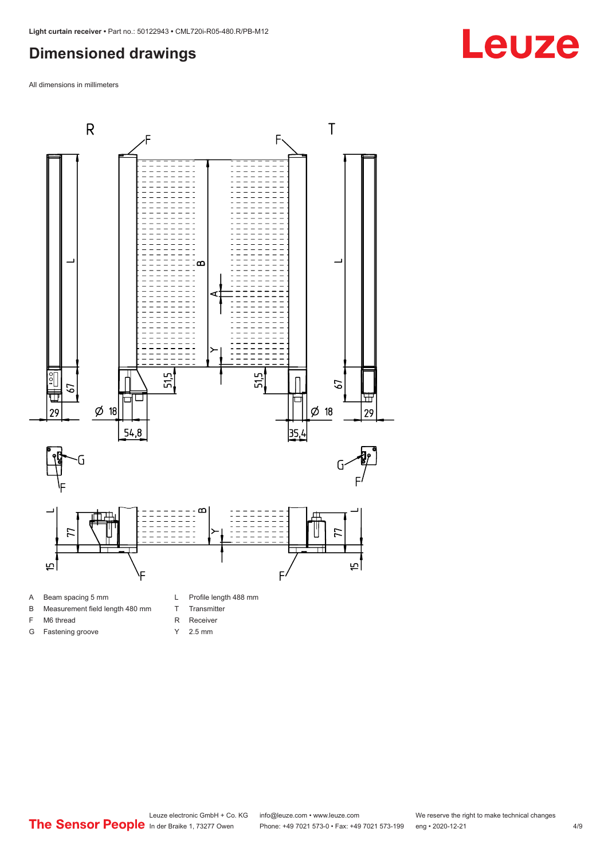#### <span id="page-3-0"></span>**Dimensioned drawings**

All dimensions in millimeters





F M6 thread G Fastening groove

- T Transmitter
	- R Receiver
	- Y 2.5 mm
- 

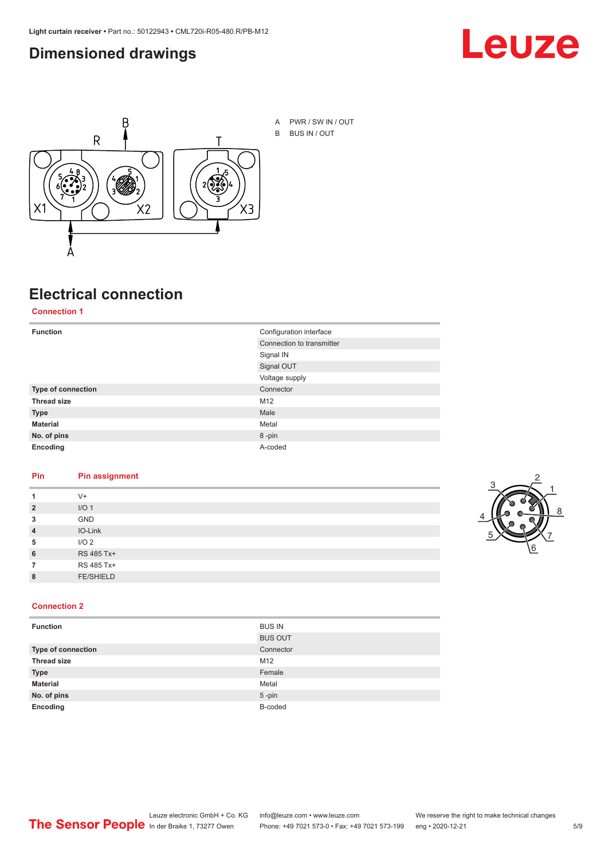#### <span id="page-4-0"></span>**Dimensioned drawings**





# **Electrical connection**

**Connection 1**

| <b>Function</b>    | Configuration interface   |
|--------------------|---------------------------|
|                    | Connection to transmitter |
|                    | Signal IN                 |
|                    | Signal OUT                |
|                    | Voltage supply            |
| Type of connection | Connector                 |
| <b>Thread size</b> | M12                       |
| <b>Type</b>        | Male                      |
| <b>Material</b>    | Metal                     |
| No. of pins        | 8-pin                     |
| Encoding           | A-coded                   |

#### **Pin Pin assignment**

| 1              | $V +$            |  |  |
|----------------|------------------|--|--|
| $\overline{2}$ | I/O <sub>1</sub> |  |  |
| 3              | <b>GND</b>       |  |  |
| $\overline{4}$ | IO-Link          |  |  |
| 5              | I/O <sub>2</sub> |  |  |
| 6              | RS 485 Tx+       |  |  |
| 7              | RS 485 Tx+       |  |  |
| 8              | <b>FE/SHIELD</b> |  |  |
|                |                  |  |  |



#### **Connection 2**

| <b>Function</b>    | <b>BUS IN</b>  |
|--------------------|----------------|
|                    | <b>BUS OUT</b> |
| Type of connection | Connector      |
| <b>Thread size</b> | M12            |
| <b>Type</b>        | Female         |
| <b>Material</b>    | Metal          |
| No. of pins        | $5$ -pin       |
| Encoding           | B-coded        |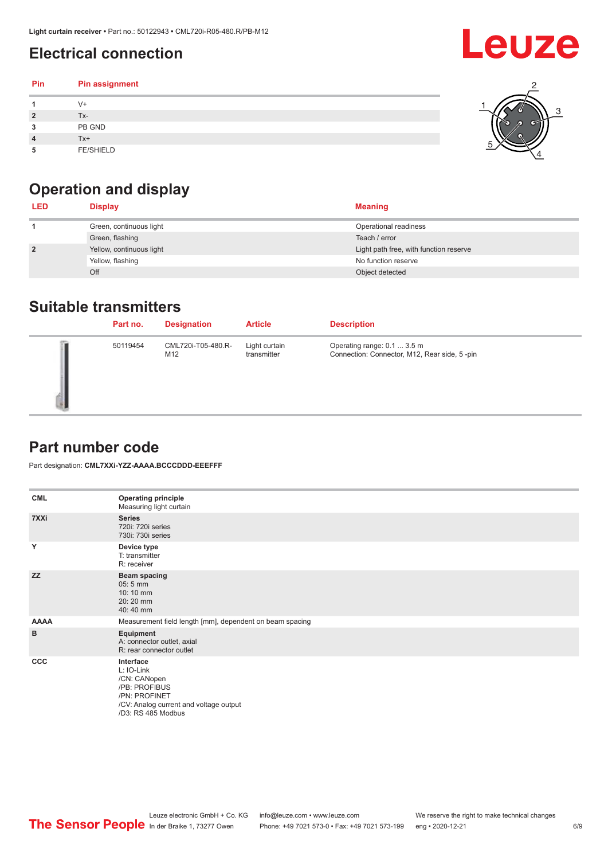### <span id="page-5-0"></span>**Electrical connection**

#### **Pin Pin assignment 1** V+ **2** Tx-**3** PB GND **4** Tx+ **5** FE/SHIELD 3 2 1 5 4



| <b>LED</b>     | <b>Display</b>           | <b>Meaning</b>                         |
|----------------|--------------------------|----------------------------------------|
|                | Green, continuous light  | Operational readiness                  |
|                | Green, flashing          | Teach / error                          |
| $\overline{2}$ | Yellow, continuous light | Light path free, with function reserve |
|                | Yellow, flashing         | No function reserve                    |
|                | Off                      | Object detected                        |

#### **Suitable transmitters**

| Part no. | <b>Designation</b>        | <b>Article</b>               | <b>Description</b>                                                          |
|----------|---------------------------|------------------------------|-----------------------------------------------------------------------------|
| 50119454 | CML720i-T05-480.R-<br>M12 | Light curtain<br>transmitter | Operating range: 0.1  3.5 m<br>Connection: Connector, M12, Rear side, 5-pin |

### **Part number code**

Part designation: **CML7XXi-YZZ-AAAA.BCCCDDD-EEEFFF**

| <b>CML</b>  | <b>Operating principle</b><br>Measuring light curtain                                                                                     |
|-------------|-------------------------------------------------------------------------------------------------------------------------------------------|
| 7XXi        | <b>Series</b><br>720i: 720i series<br>730i: 730i series                                                                                   |
| Y           | Device type<br>T: transmitter<br>R: receiver                                                                                              |
| <b>ZZ</b>   | <b>Beam spacing</b><br>$05:5$ mm<br>10:10 mm<br>20:20 mm<br>40:40 mm                                                                      |
| <b>AAAA</b> | Measurement field length [mm], dependent on beam spacing                                                                                  |
| B           | Equipment<br>A: connector outlet, axial<br>R: rear connector outlet                                                                       |
| CCC         | Interface<br>L: IO-Link<br>/CN: CANopen<br>/PB: PROFIBUS<br>/PN: PROFINET<br>/CV: Analog current and voltage output<br>/D3: RS 485 Modbus |

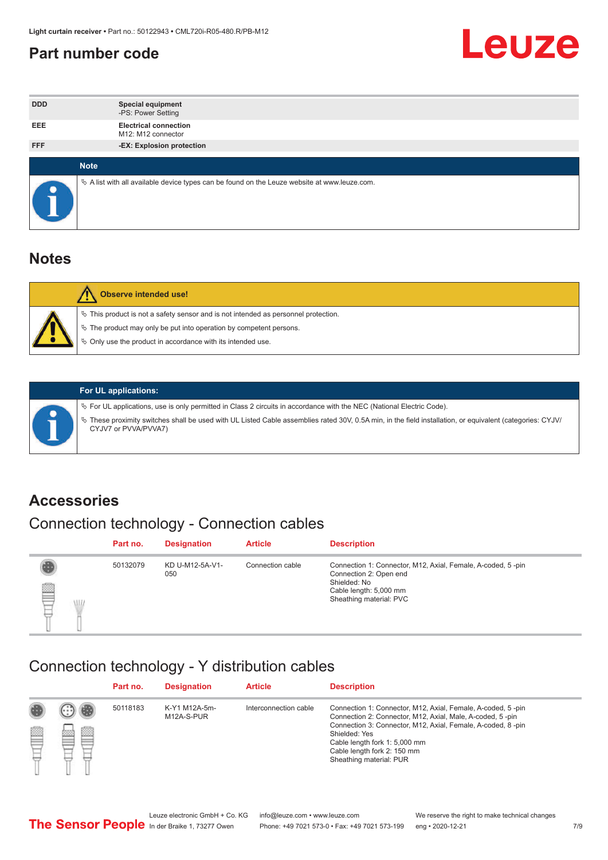#### <span id="page-6-0"></span>**Part number code**



| <b>DDD</b>  | <b>Special equipment</b><br>-PS: Power Setting                                                  |
|-------------|-------------------------------------------------------------------------------------------------|
| <b>EEE</b>  | <b>Electrical connection</b><br>M12: M12 connector                                              |
| <b>FFF</b>  | -EX: Explosion protection                                                                       |
|             |                                                                                                 |
| <b>Note</b> |                                                                                                 |
|             | $\&$ A list with all available device types can be found on the Leuze website at www.leuze.com. |

#### **Notes**

| Observe intended use!                                                                                                                                                                                                            |
|----------------------------------------------------------------------------------------------------------------------------------------------------------------------------------------------------------------------------------|
| $\%$ This product is not a safety sensor and is not intended as personnel protection.<br>$\%$ The product may only be put into operation by competent persons.<br>$\%$ Only use the product in accordance with its intended use. |
|                                                                                                                                                                                                                                  |



#### **For UL applications:**

ª For UL applications, use is only permitted in Class 2 circuits in accordance with the NEC (National Electric Code). ª These proximity switches shall be used with UL Listed Cable assemblies rated 30V, 0.5A min, in the field installation, or equivalent (categories: CYJV/ CYJV7 or PVVA/PVVA7)

#### **Accessories**

### Connection technology - Connection cables

|        | Part no. | <b>Designation</b>     | <b>Article</b>   | <b>Description</b>                                                                                                                                         |
|--------|----------|------------------------|------------------|------------------------------------------------------------------------------------------------------------------------------------------------------------|
| 2<br>W | 50132079 | KD U-M12-5A-V1-<br>050 | Connection cable | Connection 1: Connector, M12, Axial, Female, A-coded, 5-pin<br>Connection 2: Open end<br>Shielded: No<br>Cable length: 5,000 mm<br>Sheathing material: PVC |

#### Connection technology - Y distribution cables

|             |   | Part no. | <b>Designation</b>          | <b>Article</b>        | <b>Description</b>                                                                                                                                                                                                                                                                                  |
|-------------|---|----------|-----------------------------|-----------------------|-----------------------------------------------------------------------------------------------------------------------------------------------------------------------------------------------------------------------------------------------------------------------------------------------------|
| 圔<br>⋿<br>٣ | ø | 50118183 | K-Y1 M12A-5m-<br>M12A-S-PUR | Interconnection cable | Connection 1: Connector, M12, Axial, Female, A-coded, 5-pin<br>Connection 2: Connector, M12, Axial, Male, A-coded, 5-pin<br>Connection 3: Connector, M12, Axial, Female, A-coded, 8-pin<br>Shielded: Yes<br>Cable length fork 1: 5,000 mm<br>Cable length fork 2: 150 mm<br>Sheathing material: PUR |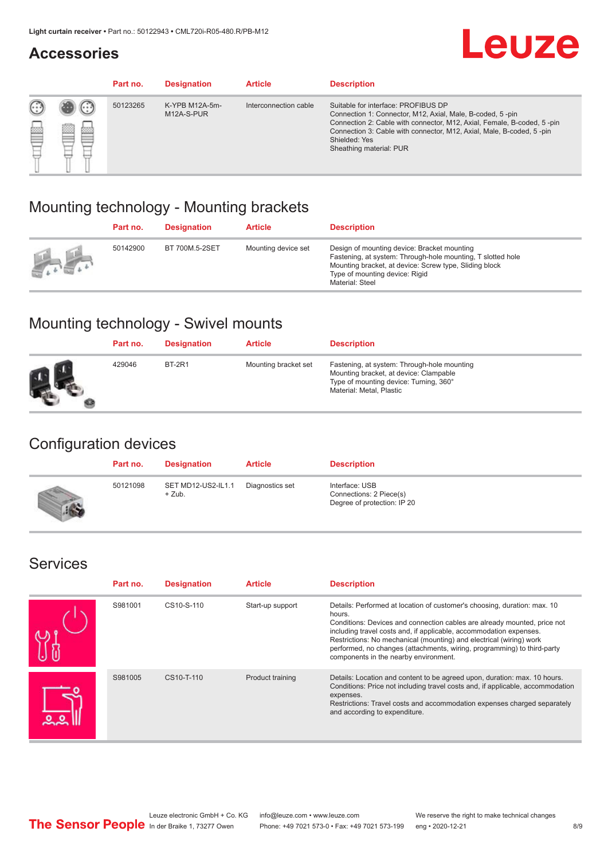#### **Accessories**

# **Leuze**

|   |        | Part no. | <b>Designation</b>           | <b>Article</b>        | <b>Description</b>                                                                                                                                                                                                                                                                             |
|---|--------|----------|------------------------------|-----------------------|------------------------------------------------------------------------------------------------------------------------------------------------------------------------------------------------------------------------------------------------------------------------------------------------|
| 您 | ×<br>一 | 50123265 | K-YPB M12A-5m-<br>M12A-S-PUR | Interconnection cable | Suitable for interface: PROFIBUS DP<br>Connection 1: Connector, M12, Axial, Male, B-coded, 5-pin<br>Connection 2: Cable with connector, M12, Axial, Female, B-coded, 5-pin<br>Connection 3: Cable with connector, M12, Axial, Male, B-coded, 5-pin<br>Shielded: Yes<br>Sheathing material: PUR |

### Mounting technology - Mounting brackets

|               | Part no. | <b>Designation</b> | <b>Article</b>      | <b>Description</b>                                                                                                                                                                                                        |
|---------------|----------|--------------------|---------------------|---------------------------------------------------------------------------------------------------------------------------------------------------------------------------------------------------------------------------|
| $\frac{1}{2}$ | 50142900 | BT 700M.5-2SET     | Mounting device set | Design of mounting device: Bracket mounting<br>Fastening, at system: Through-hole mounting, T slotted hole<br>Mounting bracket, at device: Screw type, Sliding block<br>Type of mounting device: Rigid<br>Material: Steel |

### Mounting technology - Swivel mounts

| Part no. | <b>Designation</b> | <b>Article</b>       | <b>Description</b>                                                                                                                                          |
|----------|--------------------|----------------------|-------------------------------------------------------------------------------------------------------------------------------------------------------------|
| 429046   | <b>BT-2R1</b>      | Mounting bracket set | Fastening, at system: Through-hole mounting<br>Mounting bracket, at device: Clampable<br>Type of mounting device: Turning, 360°<br>Material: Metal, Plastic |

### Configuration devices

| Part no. | <b>Designation</b>             | <b>Article</b>  | <b>Description</b>                                                       |
|----------|--------------------------------|-----------------|--------------------------------------------------------------------------|
| 50121098 | SET MD12-US2-IL1.1<br>$+$ Zub. | Diagnostics set | Interface: USB<br>Connections: 2 Piece(s)<br>Degree of protection: IP 20 |

#### Services

| Part no. | <b>Designation</b> | <b>Article</b>   | <b>Description</b>                                                                                                                                                                                                                                                                                                                                                                                                              |
|----------|--------------------|------------------|---------------------------------------------------------------------------------------------------------------------------------------------------------------------------------------------------------------------------------------------------------------------------------------------------------------------------------------------------------------------------------------------------------------------------------|
| S981001  | CS10-S-110         | Start-up support | Details: Performed at location of customer's choosing, duration: max. 10<br>hours.<br>Conditions: Devices and connection cables are already mounted, price not<br>including travel costs and, if applicable, accommodation expenses.<br>Restrictions: No mechanical (mounting) and electrical (wiring) work<br>performed, no changes (attachments, wiring, programming) to third-party<br>components in the nearby environment. |
| S981005  | CS10-T-110         | Product training | Details: Location and content to be agreed upon, duration: max. 10 hours.<br>Conditions: Price not including travel costs and, if applicable, accommodation<br>expenses.<br>Restrictions: Travel costs and accommodation expenses charged separately<br>and according to expenditure.                                                                                                                                           |